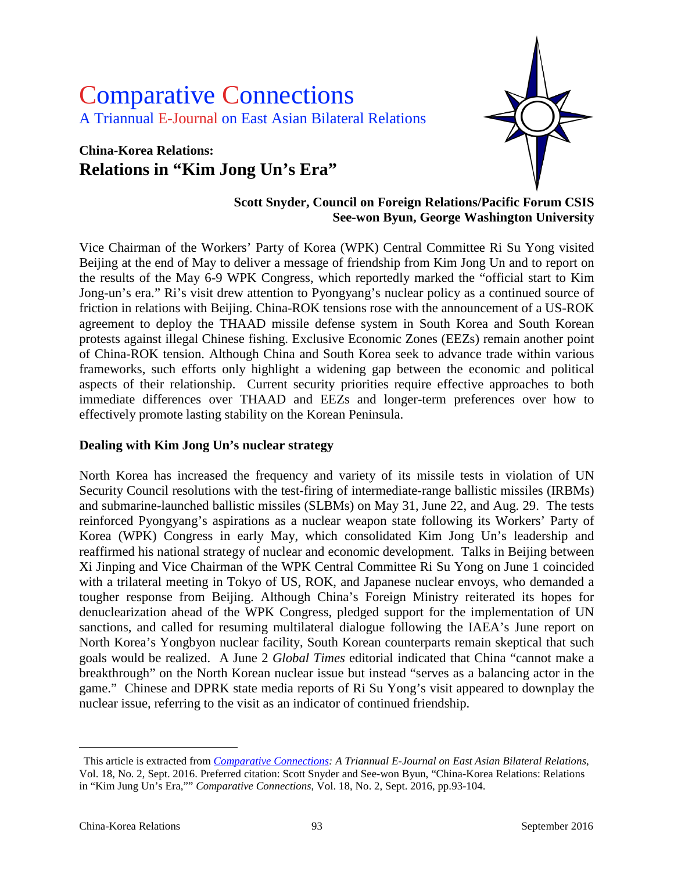# Comparative Connections A Triannual E-Journal on East Asian Bilateral Relations

## **China-Korea Relations: Relations in "Kim Jong Un's Era"**



#### **Scott Snyder, Council on Foreign Relations/Pacific Forum CSIS See-won Byun, George Washington University**

Vice Chairman of the Workers' Party of Korea (WPK) Central Committee Ri Su Yong visited Beijing at the end of May to deliver a message of friendship from Kim Jong Un and to report on the results of the May 6-9 WPK Congress, which reportedly marked the "official start to Kim Jong-un's era." Ri's visit drew attention to Pyongyang's nuclear policy as a continued source of friction in relations with Beijing. China-ROK tensions rose with the announcement of a US-ROK agreement to deploy the THAAD missile defense system in South Korea and South Korean protests against illegal Chinese fishing. Exclusive Economic Zones (EEZs) remain another point of China-ROK tension. Although China and South Korea seek to advance trade within various frameworks, such efforts only highlight a widening gap between the economic and political aspects of their relationship. Current security priorities require effective approaches to both immediate differences over THAAD and EEZs and longer-term preferences over how to effectively promote lasting stability on the Korean Peninsula.

#### **Dealing with Kim Jong Un's nuclear strategy**

North Korea has increased the frequency and variety of its missile tests in violation of UN Security Council resolutions with the test-firing of intermediate-range ballistic missiles (IRBMs) and submarine-launched ballistic missiles (SLBMs) on May 31, June 22, and Aug. 29. The tests reinforced Pyongyang's aspirations as a nuclear weapon state following its Workers' Party of Korea (WPK) Congress in early May, which consolidated Kim Jong Un's leadership and reaffirmed his national strategy of nuclear and economic development. Talks in Beijing between Xi Jinping and Vice Chairman of the WPK Central Committee Ri Su Yong on June 1 coincided with a trilateral meeting in Tokyo of US, ROK, and Japanese nuclear envoys, who demanded a tougher response from Beijing. Although China's Foreign Ministry reiterated its hopes for denuclearization ahead of the WPK Congress, pledged support for the implementation of UN sanctions, and called for resuming multilateral dialogue following the IAEA's June report on North Korea's Yongbyon nuclear facility, South Korean counterparts remain skeptical that such goals would be realized. A June 2 *Global Times* editorial indicated that China "cannot make a breakthrough" on the North Korean nuclear issue but instead "serves as a balancing actor in the game." Chinese and DPRK state media reports of Ri Su Yong's visit appeared to downplay the nuclear issue, referring to the visit as an indicator of continued friendship.

 $\overline{a}$ 

<span id="page-0-0"></span>This article is extracted from *[Comparative Connections:](http://csis.org/program/comparative-connections) A Triannual E-Journal on East Asian Bilateral Relations,*  Vol. 18, No. 2, Sept. 2016. Preferred citation: Scott Snyder and See-won Byun, "China-Korea Relations: Relations in "Kim Jung Un's Era,"" *Comparative Connections*, Vol. 18, No. 2, Sept. 2016, pp.93-104.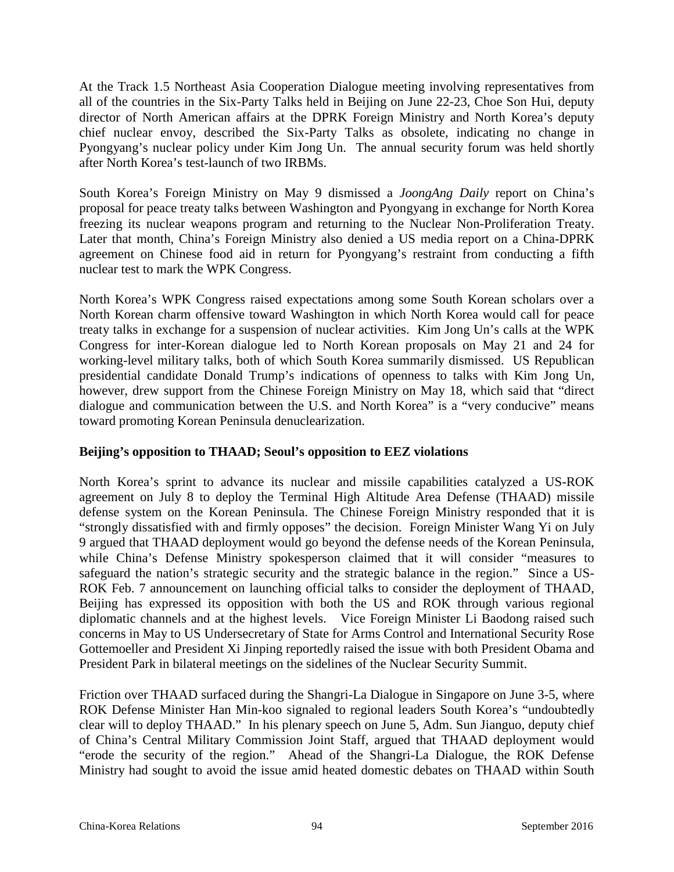At the Track 1.5 Northeast Asia Cooperation Dialogue meeting involving representatives from all of the countries in the Six-Party Talks held in Beijing on June 22-23, Choe Son Hui, deputy director of North American affairs at the DPRK Foreign Ministry and North Korea's deputy chief nuclear envoy, described the Six-Party Talks as obsolete, indicating no change in Pyongyang's nuclear policy under Kim Jong Un. The annual security forum was held shortly after North Korea's test-launch of two IRBMs.

South Korea's Foreign Ministry on May 9 dismissed a *JoongAng Daily* report on China's proposal for peace treaty talks between Washington and Pyongyang in exchange for North Korea freezing its nuclear weapons program and returning to the Nuclear Non-Proliferation Treaty. Later that month, China's Foreign Ministry also denied a US media report on a China-DPRK agreement on Chinese food aid in return for Pyongyang's restraint from conducting a fifth nuclear test to mark the WPK Congress.

North Korea's WPK Congress raised expectations among some South Korean scholars over a North Korean charm offensive toward Washington in which North Korea would call for peace treaty talks in exchange for a suspension of nuclear activities. Kim Jong Un's calls at the WPK Congress for inter-Korean dialogue led to North Korean proposals on May 21 and 24 for working-level military talks, both of which South Korea summarily dismissed. US Republican presidential candidate Donald Trump's indications of openness to talks with Kim Jong Un, however, drew support from the Chinese Foreign Ministry on May 18, which said that "direct dialogue and communication between the U.S. and North Korea" is a "very conducive" means toward promoting Korean Peninsula denuclearization.

#### **Beijing's opposition to THAAD; Seoul's opposition to EEZ violations**

North Korea's sprint to advance its nuclear and missile capabilities catalyzed a US-ROK agreement on July 8 to deploy the Terminal High Altitude Area Defense (THAAD) missile defense system on the Korean Peninsula. The Chinese Foreign Ministry responded that it is "strongly dissatisfied with and firmly opposes" the decision. Foreign Minister Wang Yi on July 9 argued that THAAD deployment would go beyond the defense needs of the Korean Peninsula, while China's Defense Ministry spokesperson claimed that it will consider "measures to safeguard the nation's strategic security and the strategic balance in the region." Since a US-ROK Feb. 7 announcement on launching official talks to consider the deployment of THAAD, Beijing has expressed its opposition with both the US and ROK through various regional diplomatic channels and at the highest levels. Vice Foreign Minister Li Baodong raised such concerns in May to US Undersecretary of State for Arms Control and International Security Rose Gottemoeller and President Xi Jinping reportedly raised the issue with both President Obama and President Park in bilateral meetings on the sidelines of the Nuclear Security Summit.

Friction over THAAD surfaced during the Shangri-La Dialogue in Singapore on June 3-5, where ROK Defense Minister Han Min-koo signaled to regional leaders South Korea's "undoubtedly clear will to deploy THAAD." In his plenary speech on June 5, Adm. Sun Jianguo, deputy chief of China's Central Military Commission Joint Staff, argued that THAAD deployment would "erode the security of the region." Ahead of the Shangri-La Dialogue, the ROK Defense Ministry had sought to avoid the issue amid heated domestic debates on THAAD within South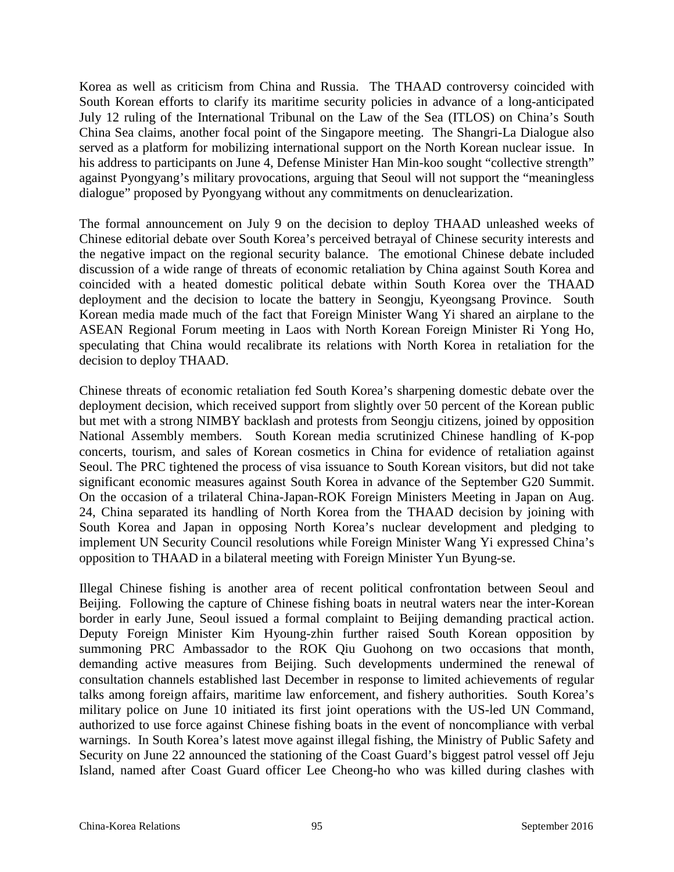Korea as well as criticism from China and Russia. The THAAD controversy coincided with South Korean efforts to clarify its maritime security policies in advance of a long-anticipated July 12 ruling of the International Tribunal on the Law of the Sea (ITLOS) on China's South China Sea claims, another focal point of the Singapore meeting. The Shangri-La Dialogue also served as a platform for mobilizing international support on the North Korean nuclear issue. In his address to participants on June 4, Defense Minister Han Min-koo sought "collective strength" against Pyongyang's military provocations, arguing that Seoul will not support the "meaningless dialogue" proposed by Pyongyang without any commitments on denuclearization.

The formal announcement on July 9 on the decision to deploy THAAD unleashed weeks of Chinese editorial debate over South Korea's perceived betrayal of Chinese security interests and the negative impact on the regional security balance. The emotional Chinese debate included discussion of a wide range of threats of economic retaliation by China against South Korea and coincided with a heated domestic political debate within South Korea over the THAAD deployment and the decision to locate the battery in Seongju, Kyeongsang Province. South Korean media made much of the fact that Foreign Minister Wang Yi shared an airplane to the ASEAN Regional Forum meeting in Laos with North Korean Foreign Minister Ri Yong Ho, speculating that China would recalibrate its relations with North Korea in retaliation for the decision to deploy THAAD.

Chinese threats of economic retaliation fed South Korea's sharpening domestic debate over the deployment decision, which received support from slightly over 50 percent of the Korean public but met with a strong NIMBY backlash and protests from Seongju citizens, joined by opposition National Assembly members. South Korean media scrutinized Chinese handling of K-pop concerts, tourism, and sales of Korean cosmetics in China for evidence of retaliation against Seoul. The PRC tightened the process of visa issuance to South Korean visitors, but did not take significant economic measures against South Korea in advance of the September G20 Summit. On the occasion of a trilateral China-Japan-ROK Foreign Ministers Meeting in Japan on Aug. 24, China separated its handling of North Korea from the THAAD decision by joining with South Korea and Japan in opposing North Korea's nuclear development and pledging to implement UN Security Council resolutions while Foreign Minister Wang Yi expressed China's opposition to THAAD in a bilateral meeting with Foreign Minister Yun Byung-se.

Illegal Chinese fishing is another area of recent political confrontation between Seoul and Beijing. Following the capture of Chinese fishing boats in neutral waters near the inter-Korean border in early June, Seoul issued a formal complaint to Beijing demanding practical action. Deputy Foreign Minister Kim Hyoung-zhin further raised South Korean opposition by summoning PRC Ambassador to the ROK Qiu Guohong on two occasions that month, demanding active measures from Beijing. Such developments undermined the renewal of consultation channels established last December in response to limited achievements of regular talks among foreign affairs, maritime law enforcement, and fishery authorities. South Korea's military police on June 10 initiated its first joint operations with the US-led UN Command, authorized to use force against Chinese fishing boats in the event of noncompliance with verbal warnings. In South Korea's latest move against illegal fishing, the Ministry of Public Safety and Security on June 22 announced the stationing of the Coast Guard's biggest patrol vessel off Jeju Island, named after Coast Guard officer Lee Cheong-ho who was killed during clashes with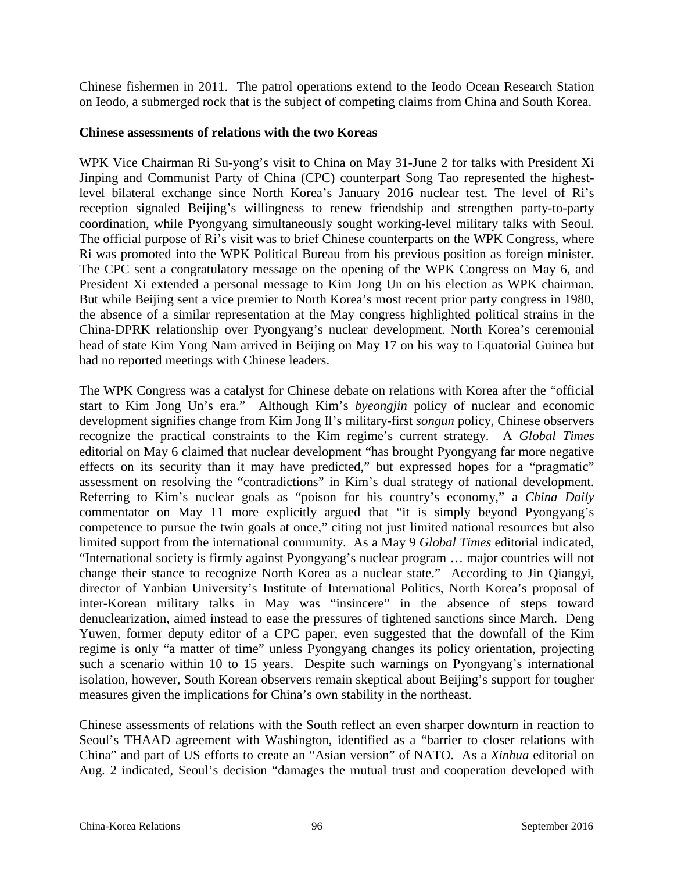Chinese fishermen in 2011. The patrol operations extend to the Ieodo Ocean Research Station on Ieodo, a submerged rock that is the subject of competing claims from China and South Korea.

#### **Chinese assessments of relations with the two Koreas**

WPK Vice Chairman Ri Su-yong's visit to China on May 31-June 2 for talks with President Xi Jinping and Communist Party of China (CPC) counterpart Song Tao represented the highestlevel bilateral exchange since North Korea's January 2016 nuclear test. The level of Ri's reception signaled Beijing's willingness to renew friendship and strengthen party-to-party coordination, while Pyongyang simultaneously sought working-level military talks with Seoul. The official purpose of Ri's visit was to brief Chinese counterparts on the WPK Congress, where Ri was promoted into the WPK Political Bureau from his previous position as foreign minister. The CPC sent a congratulatory message on the opening of the WPK Congress on May 6, and President Xi extended a personal message to Kim Jong Un on his election as WPK chairman. But while Beijing sent a vice premier to North Korea's most recent prior party congress in 1980, the absence of a similar representation at the May congress highlighted political strains in the China-DPRK relationship over Pyongyang's nuclear development. North Korea's ceremonial head of state Kim Yong Nam arrived in Beijing on May 17 on his way to Equatorial Guinea but had no reported meetings with Chinese leaders.

The WPK Congress was a catalyst for Chinese debate on relations with Korea after the "official start to Kim Jong Un's era." Although Kim's *byeongjin* policy of nuclear and economic development signifies change from Kim Jong Il's military-first *songun* policy, Chinese observers recognize the practical constraints to the Kim regime's current strategy. A *Global Times* editorial on May 6 claimed that nuclear development "has brought Pyongyang far more negative effects on its security than it may have predicted," but expressed hopes for a "pragmatic" assessment on resolving the "contradictions" in Kim's dual strategy of national development. Referring to Kim's nuclear goals as "poison for his country's economy," a *China Daily* commentator on May 11 more explicitly argued that "it is simply beyond Pyongyang's competence to pursue the twin goals at once," citing not just limited national resources but also limited support from the international community. As a May 9 *Global Times* editorial indicated, "International society is firmly against Pyongyang's nuclear program … major countries will not change their stance to recognize North Korea as a nuclear state." According to Jin Qiangyi, director of Yanbian University's Institute of International Politics, North Korea's proposal of inter-Korean military talks in May was "insincere" in the absence of steps toward denuclearization, aimed instead to ease the pressures of tightened sanctions since March. Deng Yuwen, former deputy editor of a CPC paper, even suggested that the downfall of the Kim regime is only "a matter of time" unless Pyongyang changes its policy orientation, projecting such a scenario within 10 to 15 years. Despite such warnings on Pyongyang's international isolation, however, South Korean observers remain skeptical about Beijing's support for tougher measures given the implications for China's own stability in the northeast.

Chinese assessments of relations with the South reflect an even sharper downturn in reaction to Seoul's THAAD agreement with Washington, identified as a "barrier to closer relations with China" and part of US efforts to create an "Asian version" of NATO. As a *Xinhua* editorial on Aug. 2 indicated, Seoul's decision "damages the mutual trust and cooperation developed with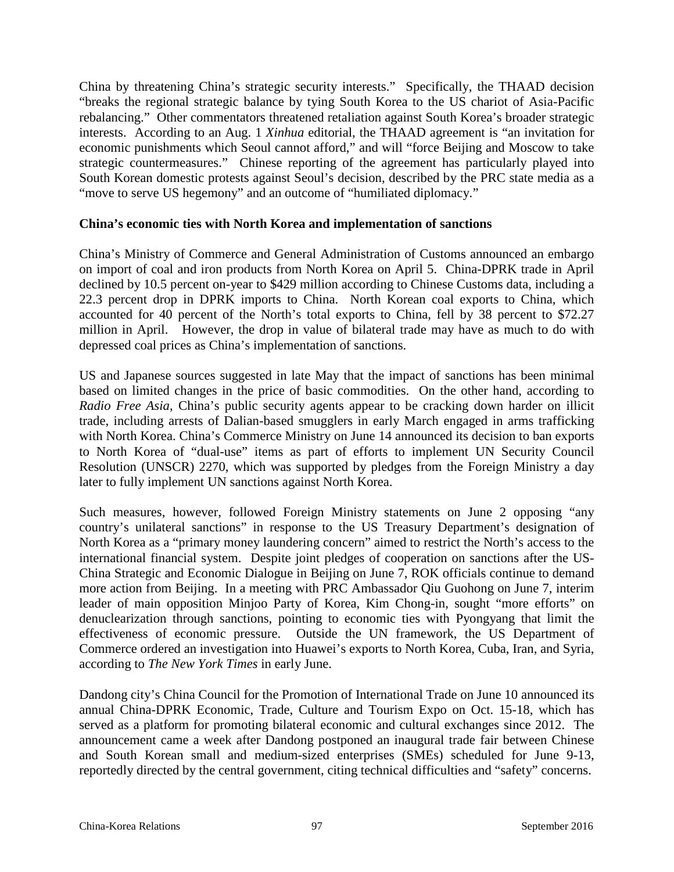China by threatening China's strategic security interests." Specifically, the THAAD decision "breaks the regional strategic balance by tying South Korea to the US chariot of Asia-Pacific rebalancing." Other commentators threatened retaliation against South Korea's broader strategic interests. According to an Aug. 1 *Xinhua* editorial, the THAAD agreement is "an invitation for economic punishments which Seoul cannot afford," and will "force Beijing and Moscow to take strategic countermeasures." Chinese reporting of the agreement has particularly played into South Korean domestic protests against Seoul's decision, described by the PRC state media as a "move to serve US hegemony" and an outcome of "humiliated diplomacy."

#### **China's economic ties with North Korea and implementation of sanctions**

China's Ministry of Commerce and General Administration of Customs announced an embargo on import of coal and iron products from North Korea on April 5. China-DPRK trade in April declined by 10.5 percent on-year to \$429 million according to Chinese Customs data, including a 22.3 percent drop in DPRK imports to China. North Korean coal exports to China, which accounted for 40 percent of the North's total exports to China, fell by 38 percent to \$72.27 million in April. However, the drop in value of bilateral trade may have as much to do with depressed coal prices as China's implementation of sanctions.

US and Japanese sources suggested in late May that the impact of sanctions has been minimal based on limited changes in the price of basic commodities. On the other hand, according to *Radio Free Asia*, China's public security agents appear to be cracking down harder on illicit trade, including arrests of Dalian-based smugglers in early March engaged in arms trafficking with North Korea. China's Commerce Ministry on June 14 announced its decision to ban exports to North Korea of "dual-use" items as part of efforts to implement UN Security Council Resolution (UNSCR) 2270, which was supported by pledges from the Foreign Ministry a day later to fully implement UN sanctions against North Korea.

Such measures, however, followed Foreign Ministry statements on June 2 opposing "any country's unilateral sanctions" in response to the US Treasury Department's designation of North Korea as a "primary money laundering concern" aimed to restrict the North's access to the international financial system. Despite joint pledges of cooperation on sanctions after the US-China Strategic and Economic Dialogue in Beijing on June 7, ROK officials continue to demand more action from Beijing. In a meeting with PRC Ambassador Qiu Guohong on June 7, interim leader of main opposition Minjoo Party of Korea, Kim Chong-in, sought "more efforts" on denuclearization through sanctions, pointing to economic ties with Pyongyang that limit the effectiveness of economic pressure. Outside the UN framework, the US Department of Commerce ordered an investigation into Huawei's exports to North Korea, Cuba, Iran, and Syria, according to *The New York Times* in early June.

Dandong city's China Council for the Promotion of International Trade on June 10 announced its annual China-DPRK Economic, Trade, Culture and Tourism Expo on Oct. 15-18, which has served as a platform for promoting bilateral economic and cultural exchanges since 2012. The announcement came a week after Dandong postponed an inaugural trade fair between Chinese and South Korean small and medium-sized enterprises (SMEs) scheduled for June 9-13, reportedly directed by the central government, citing technical difficulties and "safety" concerns.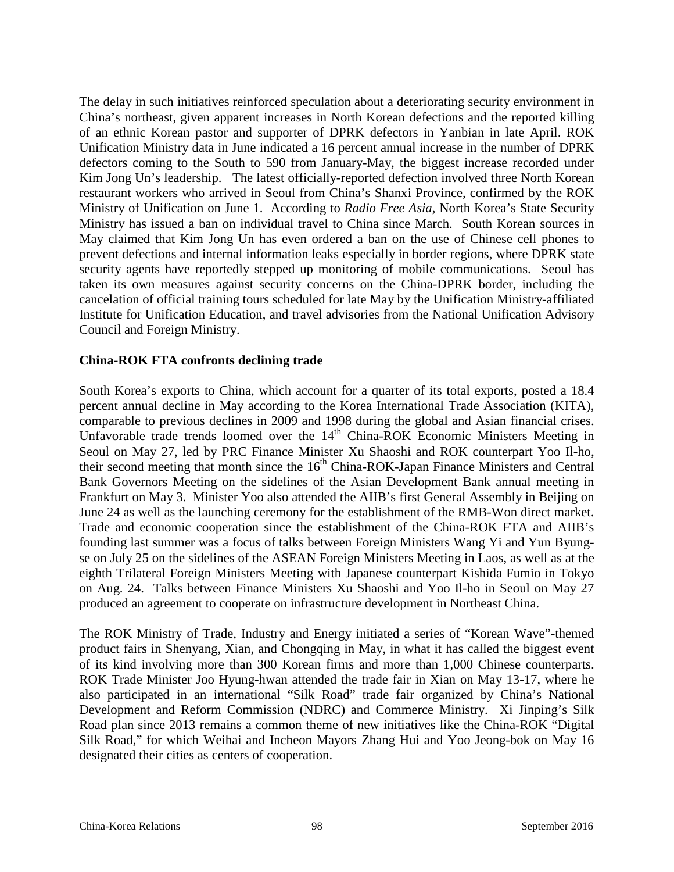The delay in such initiatives reinforced speculation about a deteriorating security environment in China's northeast, given apparent increases in North Korean defections and the reported killing of an ethnic Korean pastor and supporter of DPRK defectors in Yanbian in late April. ROK Unification Ministry data in June indicated a 16 percent annual increase in the number of DPRK defectors coming to the South to 590 from January-May, the biggest increase recorded under Kim Jong Un's leadership. The latest officially-reported defection involved three North Korean restaurant workers who arrived in Seoul from China's Shanxi Province, confirmed by the ROK Ministry of Unification on June 1. According to *Radio Free Asia*, North Korea's State Security Ministry has issued a ban on individual travel to China since March. South Korean sources in May claimed that Kim Jong Un has even ordered a ban on the use of Chinese cell phones to prevent defections and internal information leaks especially in border regions, where DPRK state security agents have reportedly stepped up monitoring of mobile communications. Seoul has taken its own measures against security concerns on the China-DPRK border, including the cancelation of official training tours scheduled for late May by the Unification Ministry-affiliated Institute for Unification Education, and travel advisories from the National Unification Advisory Council and Foreign Ministry.

#### **China-ROK FTA confronts declining trade**

South Korea's exports to China, which account for a quarter of its total exports, posted a 18.4 percent annual decline in May according to the Korea International Trade Association (KITA), comparable to previous declines in 2009 and 1998 during the global and Asian financial crises. Unfavorable trade trends loomed over the  $14<sup>th</sup>$  China-ROK Economic Ministers Meeting in Seoul on May 27, led by PRC Finance Minister Xu Shaoshi and ROK counterpart Yoo Il-ho, their second meeting that month since the 16<sup>th</sup> China-ROK-Japan Finance Ministers and Central Bank Governors Meeting on the sidelines of the Asian Development Bank annual meeting in Frankfurt on May 3. Minister Yoo also attended the AIIB's first General Assembly in Beijing on June 24 as well as the launching ceremony for the establishment of the RMB-Won direct market. Trade and economic cooperation since the establishment of the China-ROK FTA and AIIB's founding last summer was a focus of talks between Foreign Ministers Wang Yi and Yun Byungse on July 25 on the sidelines of the ASEAN Foreign Ministers Meeting in Laos, as well as at the eighth Trilateral Foreign Ministers Meeting with Japanese counterpart Kishida Fumio in Tokyo on Aug. 24. Talks between Finance Ministers Xu Shaoshi and Yoo Il-ho in Seoul on May 27 produced an agreement to cooperate on infrastructure development in Northeast China.

The ROK Ministry of Trade, Industry and Energy initiated a series of "Korean Wave"-themed product fairs in Shenyang, Xian, and Chongqing in May, in what it has called the biggest event of its kind involving more than 300 Korean firms and more than 1,000 Chinese counterparts. ROK Trade Minister Joo Hyung-hwan attended the trade fair in Xian on May 13-17, where he also participated in an international "Silk Road" trade fair organized by China's National Development and Reform Commission (NDRC) and Commerce Ministry. Xi Jinping's Silk Road plan since 2013 remains a common theme of new initiatives like the China-ROK "Digital Silk Road," for which Weihai and Incheon Mayors Zhang Hui and Yoo Jeong-bok on May 16 designated their cities as centers of cooperation.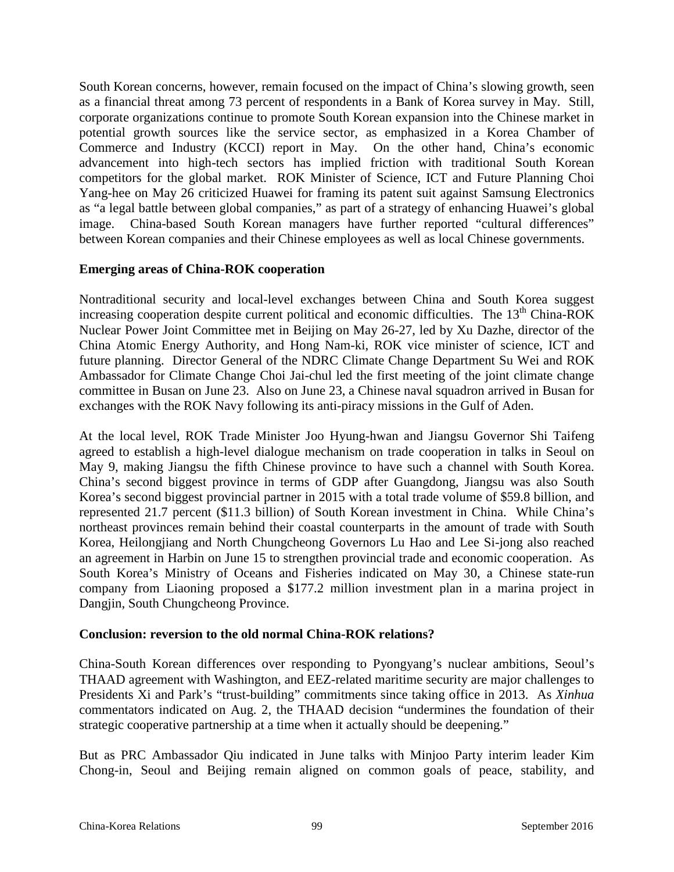South Korean concerns, however, remain focused on the impact of China's slowing growth, seen as a financial threat among 73 percent of respondents in a Bank of Korea survey in May. Still, corporate organizations continue to promote South Korean expansion into the Chinese market in potential growth sources like the service sector, as emphasized in a Korea Chamber of Commerce and Industry (KCCI) report in May. On the other hand, China's economic advancement into high-tech sectors has implied friction with traditional South Korean competitors for the global market. ROK Minister of Science, ICT and Future Planning Choi Yang-hee on May 26 criticized Huawei for framing its patent suit against Samsung Electronics as "a legal battle between global companies," as part of a strategy of enhancing Huawei's global image. China-based South Korean managers have further reported "cultural differences" between Korean companies and their Chinese employees as well as local Chinese governments.

#### **Emerging areas of China-ROK cooperation**

Nontraditional security and local-level exchanges between China and South Korea suggest increasing cooperation despite current political and economic difficulties. The  $13<sup>th</sup>$  China-ROK Nuclear Power Joint Committee met in Beijing on May 26-27, led by Xu Dazhe, director of the China Atomic Energy Authority, and Hong Nam-ki, ROK vice minister of science, ICT and future planning. Director General of the NDRC Climate Change Department Su Wei and ROK Ambassador for Climate Change Choi Jai-chul led the first meeting of the joint climate change committee in Busan on June 23. Also on June 23, a Chinese naval squadron arrived in Busan for exchanges with the ROK Navy following its anti-piracy missions in the Gulf of Aden.

At the local level, ROK Trade Minister Joo Hyung-hwan and Jiangsu Governor Shi Taifeng agreed to establish a high-level dialogue mechanism on trade cooperation in talks in Seoul on May 9, making Jiangsu the fifth Chinese province to have such a channel with South Korea. China's second biggest province in terms of GDP after Guangdong, Jiangsu was also South Korea's second biggest provincial partner in 2015 with a total trade volume of \$59.8 billion, and represented 21.7 percent (\$11.3 billion) of South Korean investment in China. While China's northeast provinces remain behind their coastal counterparts in the amount of trade with South Korea, Heilongjiang and North Chungcheong Governors Lu Hao and Lee Si-jong also reached an agreement in Harbin on June 15 to strengthen provincial trade and economic cooperation. As South Korea's Ministry of Oceans and Fisheries indicated on May 30, a Chinese state-run company from Liaoning proposed a \$177.2 million investment plan in a marina project in Dangjin, South Chungcheong Province.

#### **Conclusion: reversion to the old normal China-ROK relations?**

China-South Korean differences over responding to Pyongyang's nuclear ambitions, Seoul's THAAD agreement with Washington, and EEZ-related maritime security are major challenges to Presidents Xi and Park's "trust-building" commitments since taking office in 2013. As *Xinhua* commentators indicated on Aug. 2, the THAAD decision "undermines the foundation of their strategic cooperative partnership at a time when it actually should be deepening."

But as PRC Ambassador Qiu indicated in June talks with Minjoo Party interim leader Kim Chong-in, Seoul and Beijing remain aligned on common goals of peace, stability, and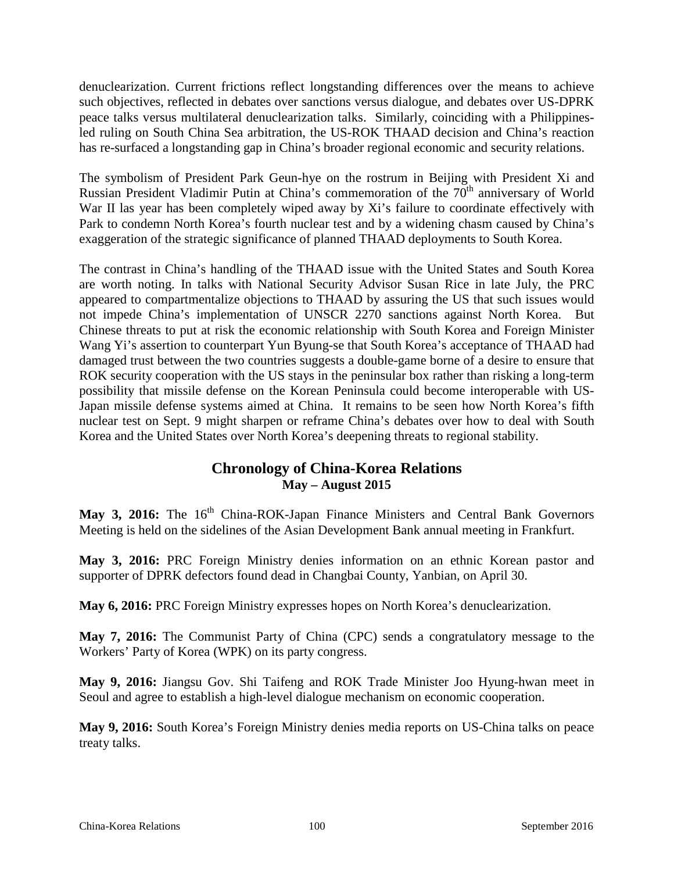denuclearization. Current frictions reflect longstanding differences over the means to achieve such objectives, reflected in debates over sanctions versus dialogue, and debates over US-DPRK peace talks versus multilateral denuclearization talks. Similarly, coinciding with a Philippinesled ruling on South China Sea arbitration, the US-ROK THAAD decision and China's reaction has re-surfaced a longstanding gap in China's broader regional economic and security relations.

The symbolism of President Park Geun-hye on the rostrum in Beijing with President Xi and Russian President Vladimir Putin at China's commemoration of the 70<sup>th</sup> anniversary of World War II las year has been completely wiped away by Xi's failure to coordinate effectively with Park to condemn North Korea's fourth nuclear test and by a widening chasm caused by China's exaggeration of the strategic significance of planned THAAD deployments to South Korea.

The contrast in China's handling of the THAAD issue with the United States and South Korea are worth noting. In talks with National Security Advisor Susan Rice in late July, the PRC appeared to compartmentalize objections to THAAD by assuring the US that such issues would not impede China's implementation of UNSCR 2270 sanctions against North Korea. But Chinese threats to put at risk the economic relationship with South Korea and Foreign Minister Wang Yi's assertion to counterpart Yun Byung-se that South Korea's acceptance of THAAD had damaged trust between the two countries suggests a double-game borne of a desire to ensure that ROK security cooperation with the US stays in the peninsular box rather than risking a long-term possibility that missile defense on the Korean Peninsula could become interoperable with US-Japan missile defense systems aimed at China. It remains to be seen how North Korea's fifth nuclear test on Sept. 9 might sharpen or reframe China's debates over how to deal with South Korea and the United States over North Korea's deepening threats to regional stability.

### **Chronology of China-Korea Relations May – August 2015**

May 3, 2016: The 16<sup>th</sup> China-ROK-Japan Finance Ministers and Central Bank Governors Meeting is held on the sidelines of the Asian Development Bank annual meeting in Frankfurt.

**May 3, 2016:** PRC Foreign Ministry denies information on an ethnic Korean pastor and supporter of DPRK defectors found dead in Changbai County, Yanbian, on April 30.

**May 6, 2016:** PRC Foreign Ministry expresses hopes on North Korea's denuclearization.

**May 7, 2016:** The Communist Party of China (CPC) sends a congratulatory message to the Workers' Party of Korea (WPK) on its party congress.

**May 9, 2016:** Jiangsu Gov. Shi Taifeng and ROK Trade Minister Joo Hyung-hwan meet in Seoul and agree to establish a high-level dialogue mechanism on economic cooperation.

**May 9, 2016:** South Korea's Foreign Ministry denies media reports on US-China talks on peace treaty talks.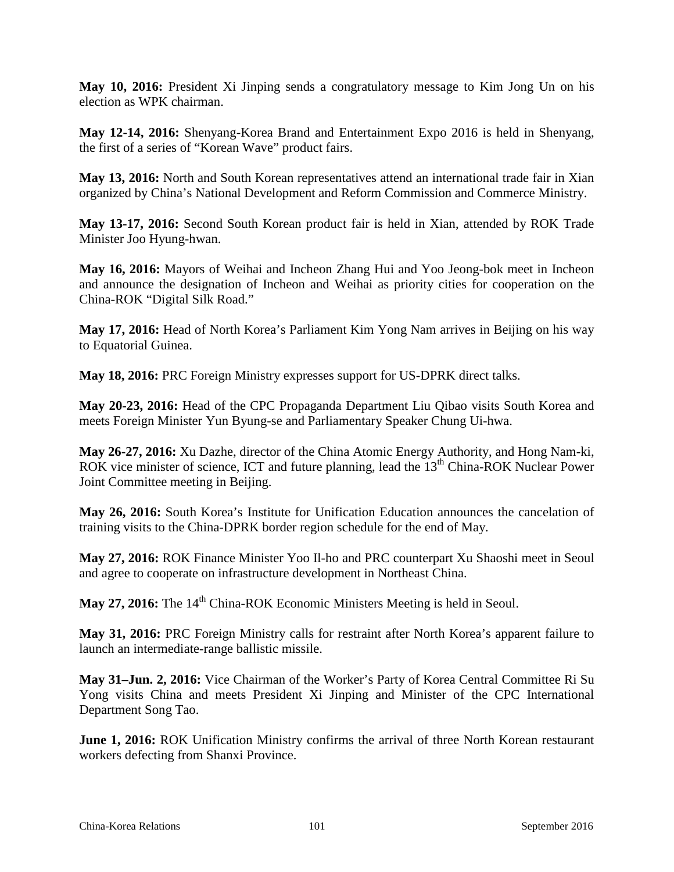**May 10, 2016:** President Xi Jinping sends a congratulatory message to Kim Jong Un on his election as WPK chairman.

**May 12-14, 2016:** Shenyang-Korea Brand and Entertainment Expo 2016 is held in Shenyang, the first of a series of "Korean Wave" product fairs.

**May 13, 2016:** North and South Korean representatives attend an international trade fair in Xian organized by China's National Development and Reform Commission and Commerce Ministry.

**May 13-17, 2016:** Second South Korean product fair is held in Xian, attended by ROK Trade Minister Joo Hyung-hwan.

**May 16, 2016:** Mayors of Weihai and Incheon Zhang Hui and Yoo Jeong-bok meet in Incheon and announce the designation of Incheon and Weihai as priority cities for cooperation on the China-ROK "Digital Silk Road."

**May 17, 2016:** Head of North Korea's Parliament Kim Yong Nam arrives in Beijing on his way to Equatorial Guinea.

**May 18, 2016:** PRC Foreign Ministry expresses support for US-DPRK direct talks.

**May 20-23, 2016:** Head of the CPC Propaganda Department Liu Qibao visits South Korea and meets Foreign Minister Yun Byung-se and Parliamentary Speaker Chung Ui-hwa.

**May 26-27, 2016:** Xu Dazhe, director of the China Atomic Energy Authority, and Hong Nam-ki, ROK vice minister of science, ICT and future planning, lead the 13<sup>th</sup> China-ROK Nuclear Power Joint Committee meeting in Beijing.

**May 26, 2016:** South Korea's Institute for Unification Education announces the cancelation of training visits to the China-DPRK border region schedule for the end of May.

**May 27, 2016:** ROK Finance Minister Yoo Il-ho and PRC counterpart Xu Shaoshi meet in Seoul and agree to cooperate on infrastructure development in Northeast China.

**May 27, 2016:** The 14<sup>th</sup> China-ROK Economic Ministers Meeting is held in Seoul.

**May 31, 2016:** PRC Foreign Ministry calls for restraint after North Korea's apparent failure to launch an intermediate-range ballistic missile.

**May 31–Jun. 2, 2016:** Vice Chairman of the Worker's Party of Korea Central Committee Ri Su Yong visits China and meets President Xi Jinping and Minister of the CPC International Department Song Tao.

**June 1, 2016:** ROK Unification Ministry confirms the arrival of three North Korean restaurant workers defecting from Shanxi Province.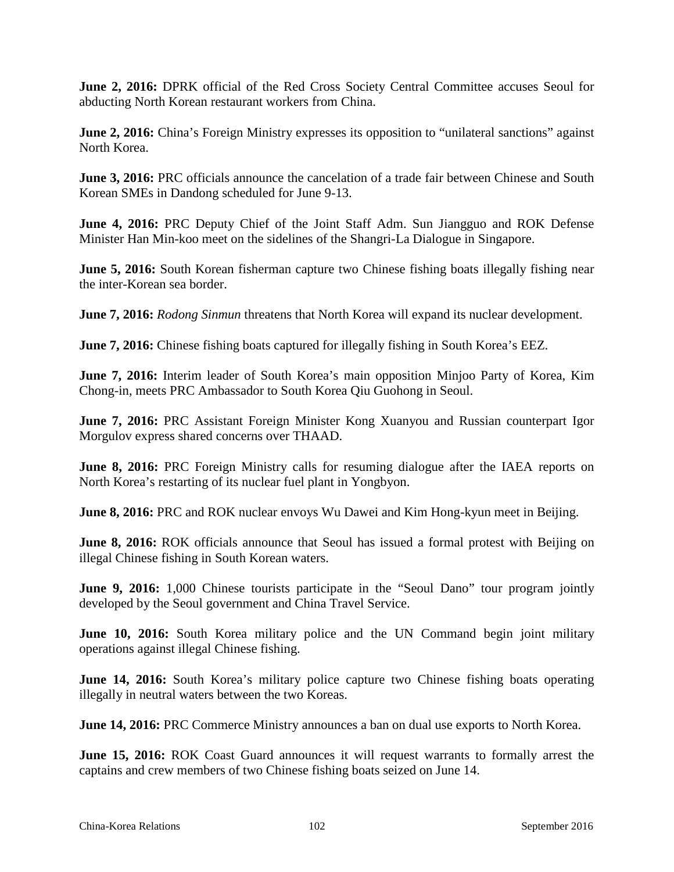**June 2, 2016:** DPRK official of the Red Cross Society Central Committee accuses Seoul for abducting North Korean restaurant workers from China.

**June 2, 2016:** China's Foreign Ministry expresses its opposition to "unilateral sanctions" against North Korea.

**June 3, 2016:** PRC officials announce the cancelation of a trade fair between Chinese and South Korean SMEs in Dandong scheduled for June 9-13.

**June 4, 2016:** PRC Deputy Chief of the Joint Staff Adm. Sun Jiangguo and ROK Defense Minister Han Min-koo meet on the sidelines of the Shangri-La Dialogue in Singapore.

**June 5, 2016:** South Korean fisherman capture two Chinese fishing boats illegally fishing near the inter-Korean sea border.

**June 7, 2016:** *Rodong Sinmun* threatens that North Korea will expand its nuclear development.

**June 7, 2016:** Chinese fishing boats captured for illegally fishing in South Korea's EEZ.

**June 7, 2016:** Interim leader of South Korea's main opposition Minjoo Party of Korea, Kim Chong-in, meets PRC Ambassador to South Korea Qiu Guohong in Seoul.

**June 7, 2016:** PRC Assistant Foreign Minister Kong Xuanyou and Russian counterpart Igor Morgulov express shared concerns over THAAD.

**June 8, 2016:** PRC Foreign Ministry calls for resuming dialogue after the IAEA reports on North Korea's restarting of its nuclear fuel plant in Yongbyon.

**June 8, 2016:** PRC and ROK nuclear envoys Wu Dawei and Kim Hong-kyun meet in Beijing.

**June 8, 2016:** ROK officials announce that Seoul has issued a formal protest with Beijing on illegal Chinese fishing in South Korean waters.

**June 9, 2016:** 1,000 Chinese tourists participate in the "Seoul Dano" tour program jointly developed by the Seoul government and China Travel Service.

**June 10, 2016:** South Korea military police and the UN Command begin joint military operations against illegal Chinese fishing.

**June 14, 2016:** South Korea's military police capture two Chinese fishing boats operating illegally in neutral waters between the two Koreas.

**June 14, 2016:** PRC Commerce Ministry announces a ban on dual use exports to North Korea.

**June 15, 2016:** ROK Coast Guard announces it will request warrants to formally arrest the captains and crew members of two Chinese fishing boats seized on June 14.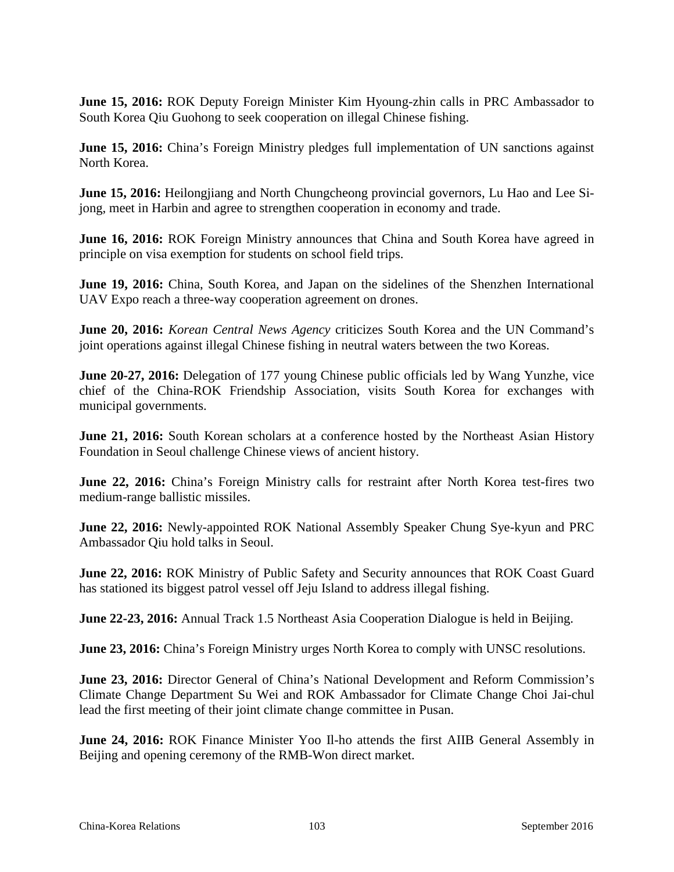**June 15, 2016:** ROK Deputy Foreign Minister Kim Hyoung-zhin calls in PRC Ambassador to South Korea Qiu Guohong to seek cooperation on illegal Chinese fishing.

**June 15, 2016:** China's Foreign Ministry pledges full implementation of UN sanctions against North Korea.

**June 15, 2016:** Heilongjiang and North Chungcheong provincial governors, Lu Hao and Lee Sijong, meet in Harbin and agree to strengthen cooperation in economy and trade.

**June 16, 2016:** ROK Foreign Ministry announces that China and South Korea have agreed in principle on visa exemption for students on school field trips.

**June 19, 2016:** China, South Korea, and Japan on the sidelines of the Shenzhen International UAV Expo reach a three-way cooperation agreement on drones.

**June 20, 2016:** *Korean Central News Agency* criticizes South Korea and the UN Command's joint operations against illegal Chinese fishing in neutral waters between the two Koreas.

**June 20-27, 2016:** Delegation of 177 young Chinese public officials led by Wang Yunzhe, vice chief of the China-ROK Friendship Association, visits South Korea for exchanges with municipal governments.

**June 21, 2016:** South Korean scholars at a conference hosted by the Northeast Asian History Foundation in Seoul challenge Chinese views of ancient history.

**June 22, 2016:** China's Foreign Ministry calls for restraint after North Korea test-fires two medium-range ballistic missiles.

**June 22, 2016:** Newly-appointed ROK National Assembly Speaker Chung Sye-kyun and PRC Ambassador Qiu hold talks in Seoul.

**June 22, 2016:** ROK Ministry of Public Safety and Security announces that ROK Coast Guard has stationed its biggest patrol vessel off Jeju Island to address illegal fishing.

**June 22-23, 2016:** Annual Track 1.5 Northeast Asia Cooperation Dialogue is held in Beijing.

**June 23, 2016:** China's Foreign Ministry urges North Korea to comply with UNSC resolutions.

**June 23, 2016:** Director General of China's National Development and Reform Commission's Climate Change Department Su Wei and ROK Ambassador for Climate Change Choi Jai-chul lead the first meeting of their joint climate change committee in Pusan.

**June 24, 2016:** ROK Finance Minister Yoo Il-ho attends the first AIIB General Assembly in Beijing and opening ceremony of the RMB-Won direct market.